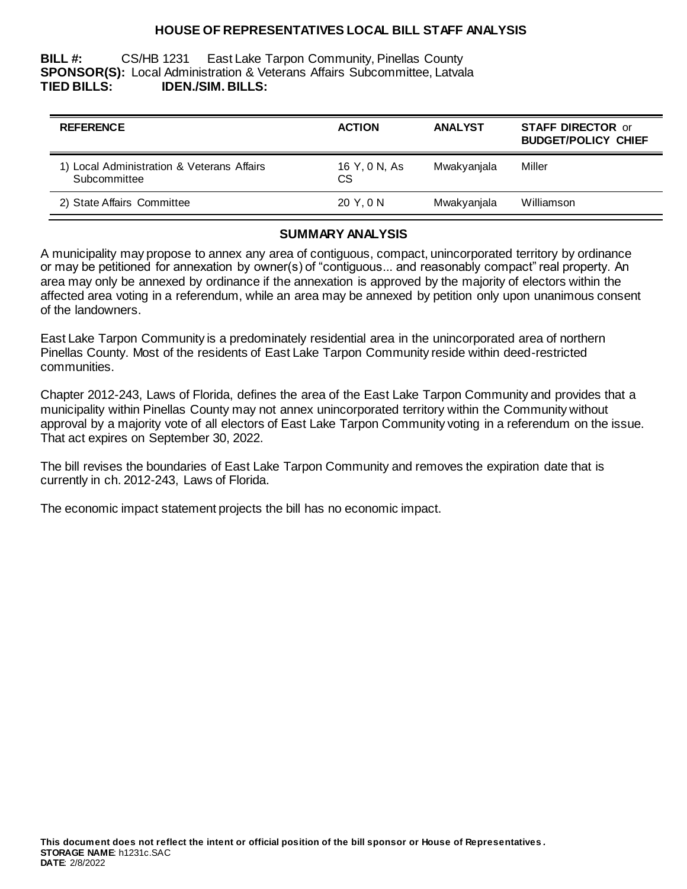### **HOUSE OF REPRESENTATIVES LOCAL BILL STAFF ANALYSIS**

**BILL #:** CS/HB 1231 East Lake Tarpon Community, Pinellas County **SPONSOR(S):** Local Administration & Veterans Affairs Subcommittee, Latvala **TIED BILLS: IDEN./SIM. BILLS:**

| <b>REFERENCE</b>                                           | <b>ACTION</b>       | <b>ANALYST</b> | <b>STAFF DIRECTOR or</b><br><b>BUDGET/POLICY CHIEF</b> |
|------------------------------------------------------------|---------------------|----------------|--------------------------------------------------------|
| 1) Local Administration & Veterans Affairs<br>Subcommittee | 16 Y, 0 N, As<br>СS | Mwakyanjala    | Miller                                                 |
| 2) State Affairs Committee                                 | 20 Y.ON             | Mwakyanjala    | Williamson                                             |

#### **SUMMARY ANALYSIS**

A municipality may propose to annex any area of contiguous, compact, unincorporated territory by ordinance or may be petitioned for annexation by owner(s) of "contiguous... and reasonably compact" real property. An area may only be annexed by ordinance if the annexation is approved by the majority of electors within the affected area voting in a referendum, while an area may be annexed by petition only upon unanimous consent of the landowners.

East Lake Tarpon Community is a predominately residential area in the unincorporated area of northern Pinellas County. Most of the residents of East Lake Tarpon Community reside within deed-restricted communities.

Chapter 2012-243, Laws of Florida, defines the area of the East Lake Tarpon Community and provides that a municipality within Pinellas County may not annex unincorporated territory within the Community without approval by a majority vote of all electors of East Lake Tarpon Community voting in a referendum on the issue. That act expires on September 30, 2022.

The bill revises the boundaries of East Lake Tarpon Community and removes the expiration date that is currently in ch. 2012-243, Laws of Florida.

The economic impact statement projects the bill has no economic impact.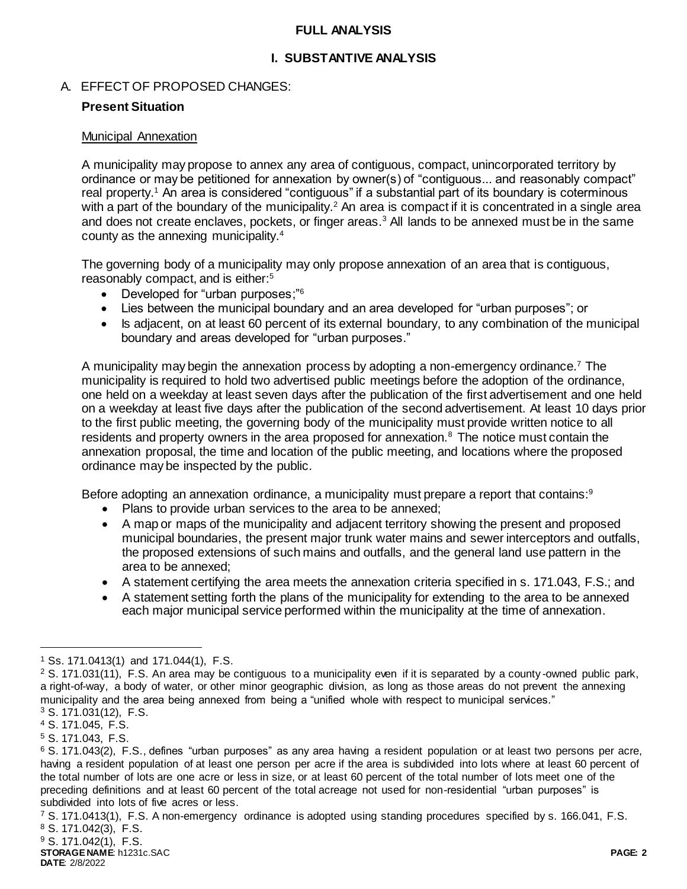### **FULL ANALYSIS**

# **I. SUBSTANTIVE ANALYSIS**

# A. EFFECT OF PROPOSED CHANGES:

# **Present Situation**

### Municipal Annexation

A municipality may propose to annex any area of contiguous, compact, unincorporated territory by ordinance or may be petitioned for annexation by owner(s) of "contiguous... and reasonably compact" real property.<sup>1</sup> An area is considered "contiguous" if a substantial part of its boundary is coterminous with a part of the boundary of the municipality.<sup>2</sup> An area is compact if it is concentrated in a single area and does not create enclaves, pockets, or finger areas.<sup>3</sup> All lands to be annexed must be in the same county as the annexing municipality.<sup>4</sup>

The governing body of a municipality may only propose annexation of an area that is contiguous, reasonably compact, and is either:<sup>5</sup>

- Developed for "urban purposes;"<sup>6</sup>
- Lies between the municipal boundary and an area developed for "urban purposes"; or
- Is adjacent, on at least 60 percent of its external boundary, to any combination of the municipal boundary and areas developed for "urban purposes."

A municipality may begin the annexation process by adopting a non-emergency ordinance.<sup>7</sup> The municipality is required to hold two advertised public meetings before the adoption of the ordinance, one held on a weekday at least seven days after the publication of the first advertisement and one held on a weekday at least five days after the publication of the second advertisement. At least 10 days prior to the first public meeting, the governing body of the municipality must provide written notice to all residents and property owners in the area proposed for annexation.<sup>8</sup> The notice must contain the annexation proposal, the time and location of the public meeting, and locations where the proposed ordinance may be inspected by the public.

Before adopting an annexation ordinance, a municipality must prepare a report that contains: $9$ 

- Plans to provide urban services to the area to be annexed;
- A map or maps of the municipality and adjacent territory showing the present and proposed municipal boundaries, the present major trunk water mains and sewer interceptors and outfalls, the proposed extensions of such mains and outfalls, and the general land use pattern in the area to be annexed;
- A statement certifying the area meets the annexation criteria specified in s. 171.043, F.S.; and
- A statement setting forth the plans of the municipality for extending to the area to be annexed each major municipal service performed within the municipality at the time of annexation.

 $\overline{a}$ 

<sup>1</sup> Ss. 171.0413(1) and 171.044(1), F.S.

 $2$  S. 171.031(11), F.S. An area may be contiguous to a municipality even if it is separated by a county-owned public park, a right-of-way, a body of water, or other minor geographic division, as long as those areas do not prevent the annexing municipality and the area being annexed from being a "unified whole with respect to municipal services." <sup>3</sup> S. 171.031(12), F.S.

<sup>4</sup> S. 171.045, F.S.

<sup>5</sup> S. 171.043, F.S.

<sup>6</sup> S. 171.043(2), F.S., defines "urban purposes" as any area having a resident population or at least two persons per acre, having a resident population of at least one person per acre if the area is subdivided into lots where at least 60 percent of the total number of lots are one acre or less in size, or at least 60 percent of the total number of lots meet one of the preceding definitions and at least 60 percent of the total acreage not used for non-residential "urban purposes" is subdivided into lots of five acres or less.

<sup>7</sup> S. 171.0413(1), F.S. A non-emergency ordinance is adopted using standing procedures specified by s. 166.041, F.S. <sup>8</sup> S. 171.042(3), F.S.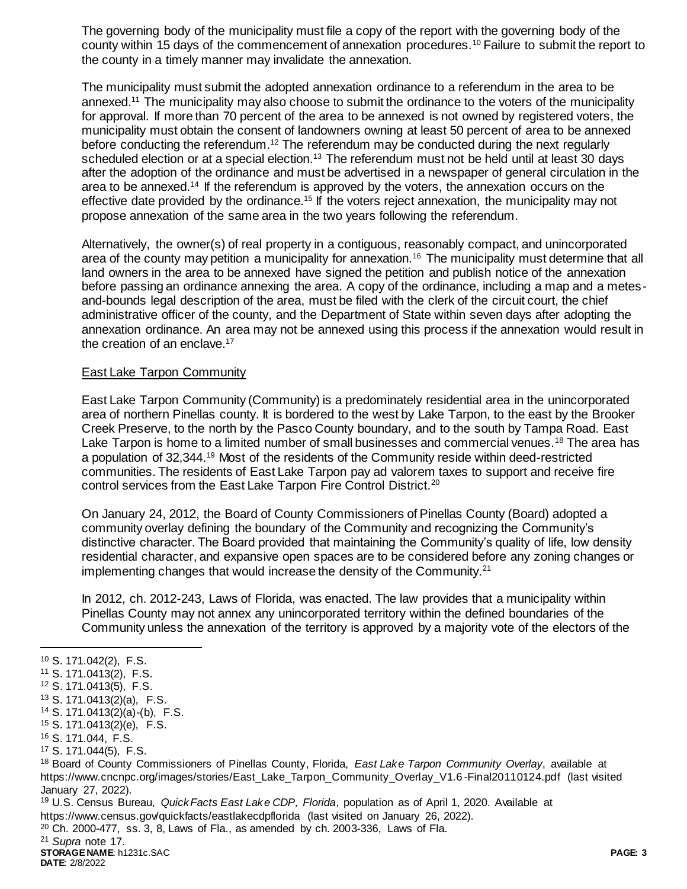The governing body of the municipality must file a copy of the report with the governing body of the county within 15 days of the commencement of annexation procedures.<sup>10</sup> Failure to submit the report to the county in a timely manner may invalidate the annexation.

The municipality must submit the adopted annexation ordinance to a referendum in the area to be annexed.<sup>11</sup> The municipality may also choose to submit the ordinance to the voters of the municipality for approval. If more than 70 percent of the area to be annexed is not owned by registered voters, the municipality must obtain the consent of landowners owning at least 50 percent of area to be annexed before conducting the referendum.<sup>12</sup> The referendum may be conducted during the next regularly scheduled election or at a special election.<sup>13</sup> The referendum must not be held until at least 30 days after the adoption of the ordinance and must be advertised in a newspaper of general circulation in the area to be annexed.<sup>14</sup> If the referendum is approved by the voters, the annexation occurs on the effective date provided by the ordinance.<sup>15</sup> If the voters reject annexation, the municipality may not propose annexation of the same area in the two years following the referendum.

Alternatively, the owner(s) of real property in a contiguous, reasonably compact, and unincorporated area of the county may petition a municipality for annexation.<sup>16</sup> The municipality must determine that all land owners in the area to be annexed have signed the petition and publish notice of the annexation before passing an ordinance annexing the area. A copy of the ordinance, including a map and a metesand-bounds legal description of the area, must be filed with the clerk of the circuit court, the chief administrative officer of the county, and the Department of State within seven days after adopting the annexation ordinance. An area may not be annexed using this process if the annexation would result in the creation of an enclave.<sup>17</sup>

### East Lake Tarpon Community

East Lake Tarpon Community (Community) is a predominately residential area in the unincorporated area of northern Pinellas county. It is bordered to the west by Lake Tarpon, to the east by the Brooker Creek Preserve, to the north by the Pasco County boundary, and to the south by Tampa Road. East Lake Tarpon is home to a limited number of small businesses and commercial venues.<sup>18</sup> The area has a population of 32,344.<sup>19</sup> Most of the residents of the Community reside within deed-restricted communities. The residents of East Lake Tarpon pay ad valorem taxes to support and receive fire control services from the East Lake Tarpon Fire Control District.<sup>20</sup>

On January 24, 2012, the Board of County Commissioners of Pinellas County (Board) adopted a community overlay defining the boundary of the Community and recognizing the Community's distinctive character. The Board provided that maintaining the Community's quality of life, low density residential character, and expansive open spaces are to be considered before any zoning changes or implementing changes that would increase the density of the Community.<sup>21</sup>

In 2012, ch. 2012-243, Laws of Florida, was enacted. The law provides that a municipality within Pinellas County may not annex any unincorporated territory within the defined boundaries of the Community unless the annexation of the territory is approved by a majority vote of the electors of the

 $\overline{a}$ 

- <sup>13</sup> S. 171.0413(2)(a), F.S.
- <sup>14</sup> S. 171.0413(2)(a)-(b), F.S.
- <sup>15</sup> S. 171.0413(2)(e), F.S.
- <sup>16</sup> S. 171.044, F.S.
- <sup>17</sup> S. 171.044(5), F.S.

<sup>19</sup> U.S. Census Bureau, *QuickFacts East Lake CDP, Florida*, population as of April 1, 2020. Available at https://www.census.gov/quickfacts/eastlakecdpflorida (last visited on January 26, 2022).

 $20$  Ch. 2000-477, ss. 3, 8, Laws of Fla., as amended by ch. 2003-336, Laws of Fla.

<sup>21</sup> *Supra* note 17.

**STORAGE NAME**: h1231c.SAC **PAGE: 3 DATE**: 2/8/2022

<sup>10</sup> S. 171.042(2), F.S.

<sup>11</sup> S. 171.0413(2), F.S.

<sup>12</sup> S. 171.0413(5), F.S.

<sup>18</sup> Board of County Commissioners of Pinellas County, Florida, *East Lake Tarpon Community Overlay*, available at https://www.cncnpc.org/images/stories/East\_Lake\_Tarpon\_Community\_Overlay\_V1.6 -Final20110124.pdf (last visited January 27, 2022).